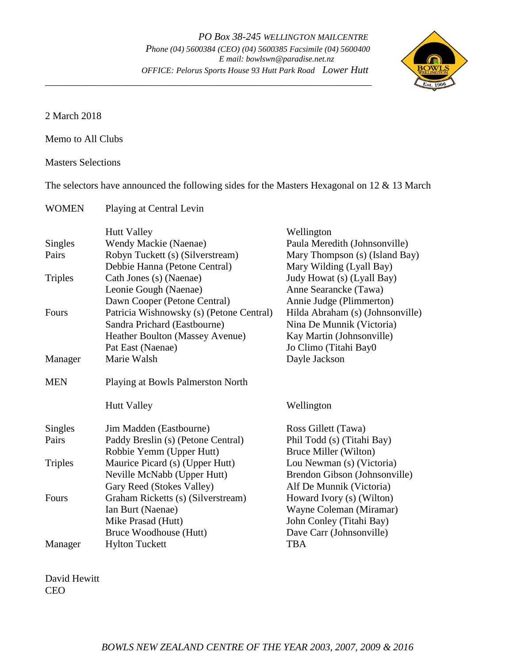

2 March 2018

Memo to All Clubs

Masters Selections

The selectors have announced the following sides for the Masters Hexagonal on 12 & 13 March

| <b>WOMEN</b>   | Playing at Central Levin                 |                                  |
|----------------|------------------------------------------|----------------------------------|
|                | <b>Hutt Valley</b>                       | Wellington                       |
| <b>Singles</b> | Wendy Mackie (Naenae)                    | Paula Meredith (Johnsonville)    |
| Pairs          | Robyn Tuckett (s) (Silverstream)         | Mary Thompson (s) (Island Bay)   |
|                | Debbie Hanna (Petone Central)            | Mary Wilding (Lyall Bay)         |
| <b>Triples</b> | Cath Jones (s) (Naenae)                  | Judy Howat (s) (Lyall Bay)       |
|                | Leonie Gough (Naenae)                    | Anne Searancke (Tawa)            |
|                | Dawn Cooper (Petone Central)             | Annie Judge (Plimmerton)         |
| Fours          | Patricia Wishnowsky (s) (Petone Central) | Hilda Abraham (s) (Johnsonville) |
|                | Sandra Prichard (Eastbourne)             | Nina De Munnik (Victoria)        |
|                | Heather Boulton (Massey Avenue)          | Kay Martin (Johnsonville)        |
|                | Pat East (Naenae)                        | Jo Climo (Titahi Bay0            |
| Manager        | Marie Walsh                              | Dayle Jackson                    |
| <b>MEN</b>     | Playing at Bowls Palmerston North        |                                  |
|                | <b>Hutt Valley</b>                       | Wellington                       |
| <b>Singles</b> | Jim Madden (Eastbourne)                  | Ross Gillett (Tawa)              |
| Pairs          | Paddy Breslin (s) (Petone Central)       | Phil Todd (s) (Titahi Bay)       |
|                | Robbie Yemm (Upper Hutt)                 | Bruce Miller (Wilton)            |
| <b>Triples</b> | Maurice Picard (s) (Upper Hutt)          | Lou Newman (s) (Victoria)        |
|                | Neville McNabb (Upper Hutt)              | Brendon Gibson (Johnsonville)    |
|                | Gary Reed (Stokes Valley)                | Alf De Munnik (Victoria)         |
| Fours          | Graham Ricketts (s) (Silverstream)       | Howard Ivory (s) (Wilton)        |
|                | Ian Burt (Naenae)                        | Wayne Coleman (Miramar)          |
|                | Mike Prasad (Hutt)                       | John Conley (Titahi Bay)         |
|                | Bruce Woodhouse (Hutt)                   | Dave Carr (Johnsonville)         |
| Manager        | <b>Hylton Tuckett</b>                    | <b>TBA</b>                       |

David Hewitt CEO